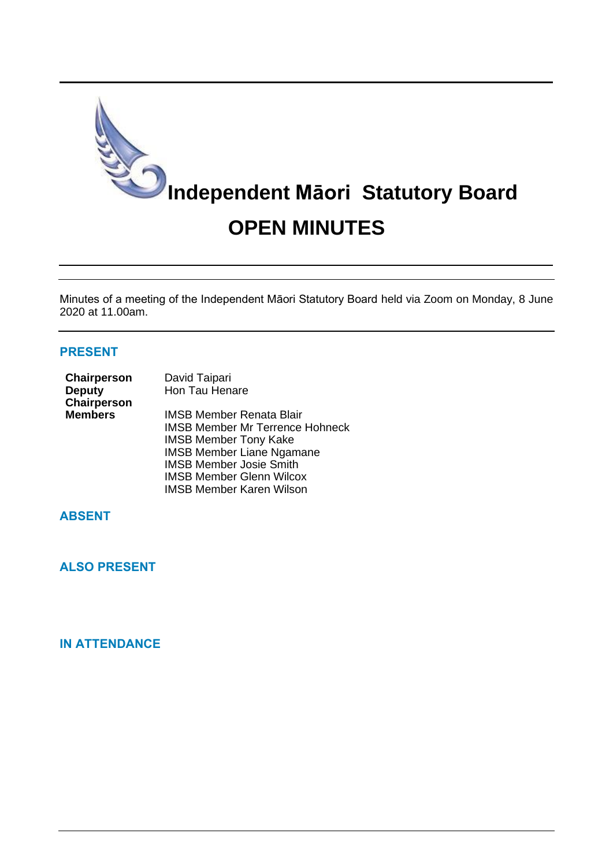

Minutes of a meeting of the Independent Māori Statutory Board held via Zoom on Monday, 8 June 2020 at 11.00am.

# **PRESENT**

| Chairperson<br><b>Deputy</b><br>Chairperson | David Taipari<br>Hon Tau Henare        |
|---------------------------------------------|----------------------------------------|
| <b>Members</b>                              | <b>IMSB Member Renata Blair</b>        |
|                                             | <b>IMSB Member Mr Terrence Hohneck</b> |
|                                             | <b>IMSB Member Tony Kake</b>           |
|                                             | <b>IMSB Member Liane Ngamane</b>       |
|                                             | <b>IMSB Member Josie Smith</b>         |
|                                             | <b>IMSB Member Glenn Wilcox</b>        |
|                                             | <b>IMSB Member Karen Wilson</b>        |

# **ABSENT**

**ALSO PRESENT**

# **IN ATTENDANCE**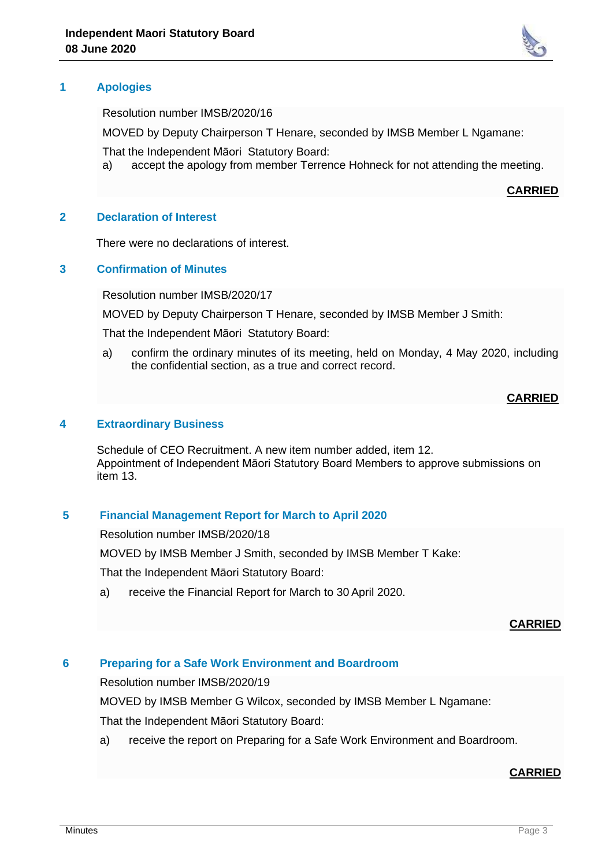

Resolution number IMSB/2020/16

MOVED by Deputy Chairperson T Henare, seconded by IMSB Member L Ngamane:

That the Independent Māori Statutory Board:

a) accept the apology from member Terrence Hohneck for not attending the meeting.

**CARRIED**

### **2 Declaration of Interest**

There were no declarations of interest.

## **3 Confirmation of Minutes**

Resolution number IMSB/2020/17

MOVED by Deputy Chairperson T Henare, seconded by IMSB Member J Smith:

That the Independent Māori Statutory Board:

a) confirm the ordinary minutes of its meeting, held on Monday, 4 May 2020, including the confidential section, as a true and correct record.

## **CARRIED**

### **4 Extraordinary Business**

Schedule of CEO Recruitment. A new item number added, item 12. Appointment of Independent Māori Statutory Board Members to approve submissions on item 13.

## **5 Financial Management Report for March to April 2020**

Resolution number IMSB/2020/18

MOVED by IMSB Member J Smith, seconded by IMSB Member T Kake:

That the Independent Māori Statutory Board:

a) receive the Financial Report for March to 30 April 2020.

### **CARRIED**

## **6 Preparing for a Safe Work Environment and Boardroom**

Resolution number IMSB/2020/19

MOVED by IMSB Member G Wilcox, seconded by IMSB Member L Ngamane:

That the Independent Māori Statutory Board:

a) receive the report on Preparing for a Safe Work Environment and Boardroom.

### **CARRIED**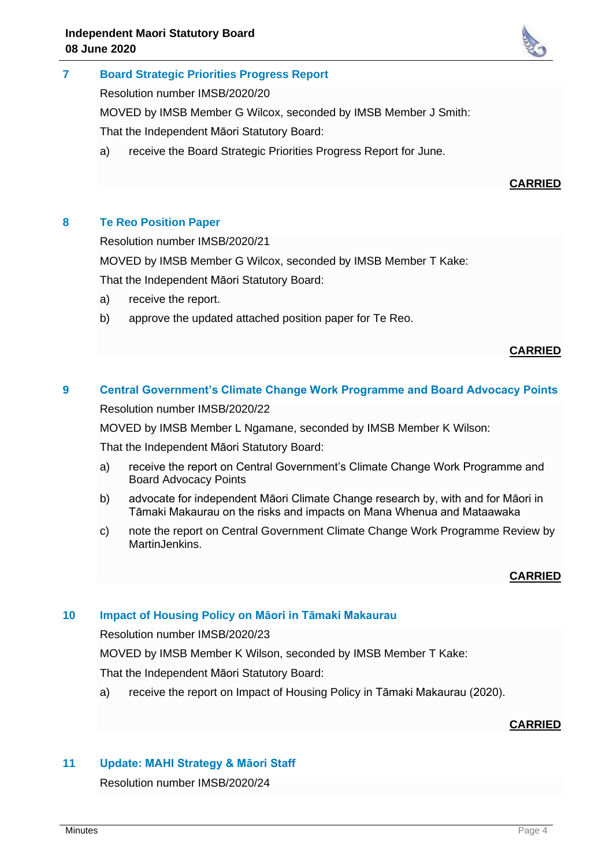

Resolution number IMSB/2020/20

MOVED by IMSB Member G Wilcox, seconded by IMSB Member J Smith:

That the Independent Māori Statutory Board:

a) receive the Board Strategic Priorities Progress Report for June.

## **CARRIED**

## **8 Te Reo Position Paper**

Resolution number IMSB/2020/21

MOVED by IMSB Member G Wilcox, seconded by IMSB Member T Kake:

That the Independent Māori Statutory Board:

- a) receive the report.
- b) approve the updated attached position paper for Te Reo.

## **CARRIED**

# **9 Central Government's Climate Change Work Programme and Board Advocacy Points** Resolution number IMSB/2020/22

MOVED by IMSB Member L Ngamane, seconded by IMSB Member K Wilson:

That the Independent Māori Statutory Board:

- a) receive the report on Central Government's Climate Change Work Programme and Board Advocacy Points
- b) advocate for independent Māori Climate Change research by, with and for Māori in Tāmaki Makaurau on the risks and impacts on Mana Whenua and Mataawaka
- c) note the report on Central Government Climate Change Work Programme Review by MartinJenkins.

### **CARRIED**

## **10 Impact of Housing Policy on Māori in Tāmaki Makaurau**

Resolution number IMSB/2020/23

MOVED by IMSB Member K Wilson, seconded by IMSB Member T Kake:

That the Independent Māori Statutory Board:

a) receive the report on Impact of Housing Policy in Tāmaki Makaurau (2020).

## **CARRIED**

## **11 Update: MAHI Strategy & Māori Staff**

Resolution number IMSB/2020/24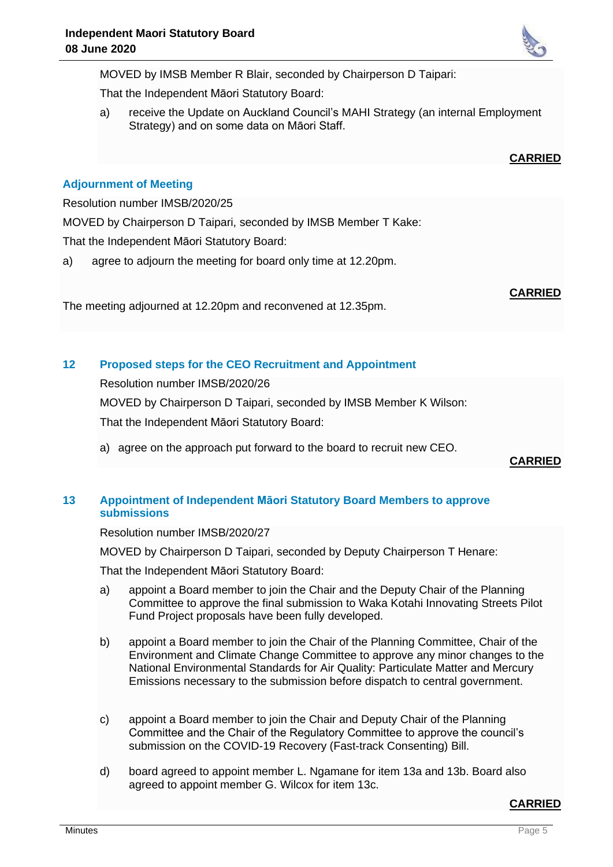MOVED by IMSB Member R Blair, seconded by Chairperson D Taipari:

That the Independent Māori Statutory Board:

a) receive the Update on Auckland Council's MAHI Strategy (an internal Employment Strategy) and on some data on Māori Staff.

# **CARRIED**

# **Adjournment of Meeting**

Resolution number IMSB/2020/25

MOVED by Chairperson D Taipari, seconded by IMSB Member T Kake:

That the Independent Māori Statutory Board:

a) agree to adjourn the meeting for board only time at 12.20pm.

**CARRIED**

The meeting adjourned at 12.20pm and reconvened at 12.35pm.

## **12 Proposed steps for the CEO Recruitment and Appointment**

Resolution number IMSB/2020/26

MOVED by Chairperson D Taipari, seconded by IMSB Member K Wilson:

That the Independent Māori Statutory Board:

a) agree on the approach put forward to the board to recruit new CEO.

## **CARRIED**

# **13 Appointment of Independent Māori Statutory Board Members to approve submissions**

Resolution number IMSB/2020/27

MOVED by Chairperson D Taipari, seconded by Deputy Chairperson T Henare:

That the Independent Māori Statutory Board:

- a) appoint a Board member to join the Chair and the Deputy Chair of the Planning Committee to approve the final submission to Waka Kotahi Innovating Streets Pilot Fund Project proposals have been fully developed.
- b) appoint a Board member to join the Chair of the Planning Committee, Chair of the Environment and Climate Change Committee to approve any minor changes to the National Environmental Standards for Air Quality: Particulate Matter and Mercury Emissions necessary to the submission before dispatch to central government.
- c) appoint a Board member to join the Chair and Deputy Chair of the Planning Committee and the Chair of the Regulatory Committee to approve the council's submission on the COVID-19 Recovery (Fast-track Consenting) Bill.
- d) board agreed to appoint member L. Ngamane for item 13a and 13b. Board also agreed to appoint member G. Wilcox for item 13c.

## **CARRIED**